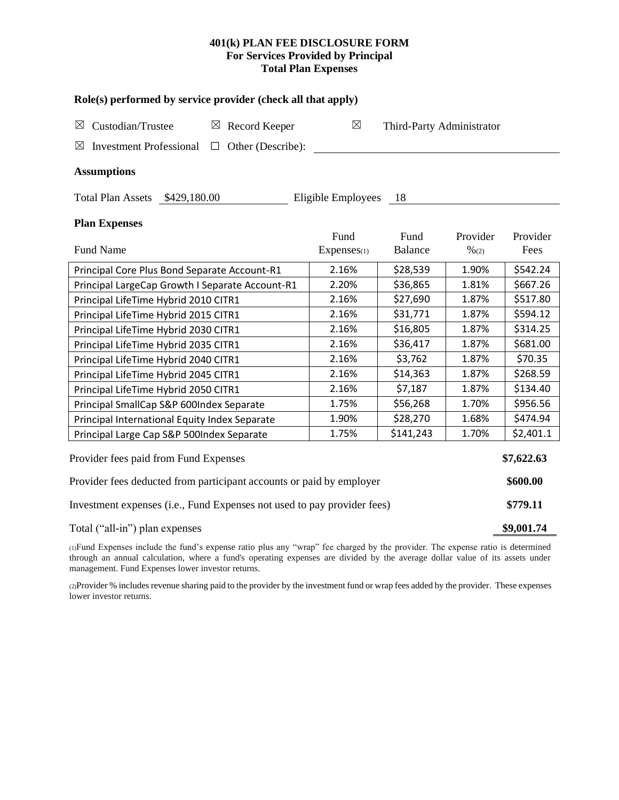# **401(k) PLAN FEE DISCLOSURE FORM For Services Provided by Principal Total Plan Expenses**

| Role(s) performed by service provider (check all that apply)            |                    |                |                           |           |  |  |  |  |  |  |
|-------------------------------------------------------------------------|--------------------|----------------|---------------------------|-----------|--|--|--|--|--|--|
| Custodian/Trustee<br>Record Keeper<br>$\boxtimes$<br>$\boxtimes$        | $\boxtimes$        |                | Third-Party Administrator |           |  |  |  |  |  |  |
| ⊠<br><b>Investment Professional</b><br>Other (Describe):<br>$\Box$      |                    |                |                           |           |  |  |  |  |  |  |
| <b>Assumptions</b>                                                      |                    |                |                           |           |  |  |  |  |  |  |
| Total Plan Assets \$429,180.00                                          | Eligible Employees | 18             |                           |           |  |  |  |  |  |  |
| <b>Plan Expenses</b>                                                    |                    |                |                           |           |  |  |  |  |  |  |
|                                                                         | Fund               | Fund           | Provider                  | Provider  |  |  |  |  |  |  |
| Fund Name                                                               | $Express_{(1)}$    | <b>Balance</b> | $\frac{9}{6(2)}$          | Fees      |  |  |  |  |  |  |
| Principal Core Plus Bond Separate Account-R1                            | 2.16%              | \$28,539       | 1.90%                     | \$542.24  |  |  |  |  |  |  |
| Principal LargeCap Growth I Separate Account-R1                         | 2.20%              | \$36,865       | 1.81%                     | \$667.26  |  |  |  |  |  |  |
| Principal LifeTime Hybrid 2010 CITR1                                    | 2.16%              | \$27,690       | 1.87%                     | \$517.80  |  |  |  |  |  |  |
| Principal LifeTime Hybrid 2015 CITR1                                    | 2.16%              | \$31,771       | 1.87%                     | \$594.12  |  |  |  |  |  |  |
| Principal LifeTime Hybrid 2030 CITR1                                    | 2.16%              | \$16,805       | 1.87%                     | \$314.25  |  |  |  |  |  |  |
| Principal LifeTime Hybrid 2035 CITR1                                    | 2.16%              | \$36,417       | 1.87%                     | \$681.00  |  |  |  |  |  |  |
| Principal LifeTime Hybrid 2040 CITR1                                    | 2.16%              | \$3,762        | 1.87%                     | \$70.35   |  |  |  |  |  |  |
| Principal LifeTime Hybrid 2045 CITR1                                    | 2.16%              | \$14,363       | 1.87%                     | \$268.59  |  |  |  |  |  |  |
| Principal LifeTime Hybrid 2050 CITR1                                    | 2.16%              | \$7,187        | 1.87%                     | \$134.40  |  |  |  |  |  |  |
| Principal SmallCap S&P 600Index Separate                                | 1.75%              | \$56,268       | 1.70%                     | \$956.56  |  |  |  |  |  |  |
| Principal International Equity Index Separate                           | 1.90%              | \$28,270       | 1.68%                     | \$474.94  |  |  |  |  |  |  |
| Principal Large Cap S&P 500Index Separate                               | 1.75%              | \$141,243      | 1.70%                     | \$2,401.1 |  |  |  |  |  |  |
| Provider fees paid from Fund Expenses                                   |                    |                |                           |           |  |  |  |  |  |  |
| Provider fees deducted from participant accounts or paid by employer    |                    |                |                           |           |  |  |  |  |  |  |
| Investment expenses (i.e., Fund Expenses not used to pay provider fees) |                    |                |                           |           |  |  |  |  |  |  |
| Total ("all-in") plan expenses                                          |                    |                |                           |           |  |  |  |  |  |  |

(1)Fund Expenses include the fund's expense ratio plus any "wrap" fee charged by the provider. The expense ratio is determined through an annual calculation, where a fund's operating expenses are divided by the average dollar value of its assets under management. Fund Expenses lower investor returns.

(2)Provider % includes revenue sharing paid to the provider by the investment fund or wrap fees added by the provider. These expenses lower investor returns.